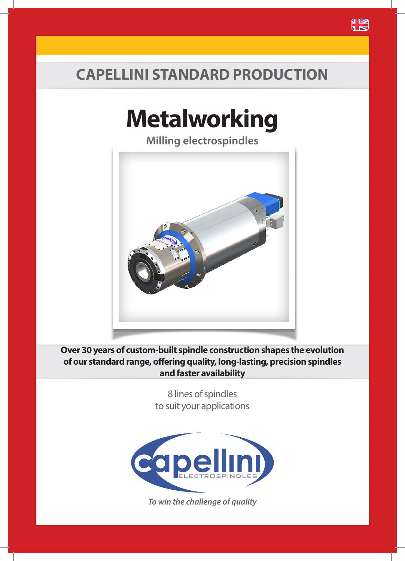### **CAPELLINI STANDARD PRODUCTION**

# **Metalworking**

**Milling electrospindles**



**Over 30 years of custom-built spindle construction shapes the evolution of our standard range, offering quality, long-lasting, precision spindles and faster availability**

> 8 lines of spindles to suit your applications



*To win the challenge of quality*